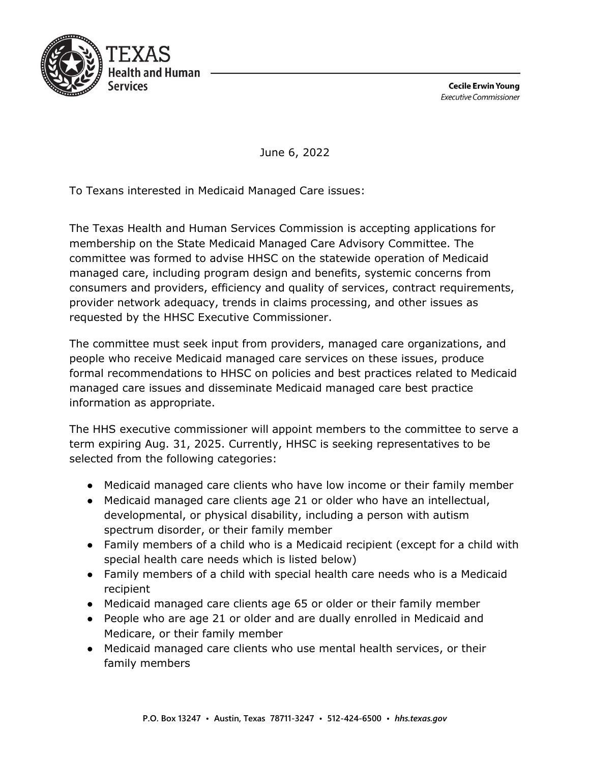

**Cecile Erwin Young Executive Commissioner** 

June 6, 2022

To Texans interested in Medicaid Managed Care issues:

The Texas Health and Human Services Commission is accepting applications for membership on the State Medicaid Managed Care Advisory Committee. The committee was formed to advise HHSC on the statewide operation of Medicaid managed care, including program design and benefits, systemic concerns from consumers and providers, efficiency and quality of services, contract requirements, provider network adequacy, trends in claims processing, and other issues as requested by the HHSC Executive Commissioner.

The committee must seek input from providers, managed care organizations, and people who receive Medicaid managed care services on these issues, produce formal recommendations to HHSC on policies and best practices related to Medicaid managed care issues and disseminate Medicaid managed care best practice information as appropriate.

The HHS executive commissioner will appoint members to the committee to serve a term expiring Aug. 31, 2025. Currently, HHSC is seeking representatives to be selected from the following categories:

- Medicaid managed care clients who have low income or their family member
- Medicaid managed care clients age 21 or older who have an intellectual, developmental, or physical disability, including a person with autism spectrum disorder, or their family member
- Family members of a child who is a Medicaid recipient (except for a child with special health care needs which is listed below)
- Family members of a child with special health care needs who is a Medicaid recipient
- Medicaid managed care clients age 65 or older or their family member
- People who are age 21 or older and are dually enrolled in Medicaid and Medicare, or their family member
- Medicaid managed care clients who use mental health services, or their family members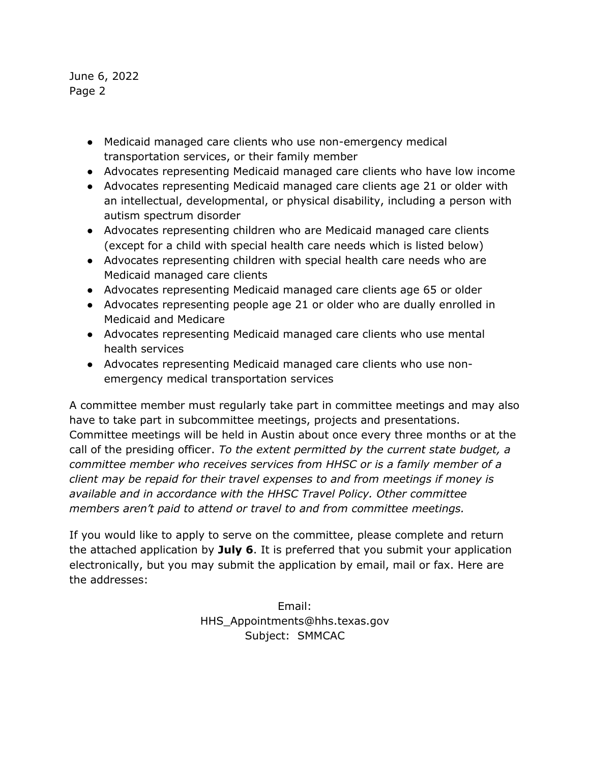June 6, 2022 Page 2

- Medicaid managed care clients who use non-emergency medical transportation services, or their family member
- Advocates representing Medicaid managed care clients who have low income
- Advocates representing Medicaid managed care clients age 21 or older with an intellectual, developmental, or physical disability, including a person with autism spectrum disorder
- Advocates representing children who are Medicaid managed care clients (except for a child with special health care needs which is listed below)
- Advocates representing children with special health care needs who are Medicaid managed care clients
- Advocates representing Medicaid managed care clients age 65 or older
- Advocates representing people age 21 or older who are dually enrolled in Medicaid and Medicare
- Advocates representing Medicaid managed care clients who use mental health services
- Advocates representing Medicaid managed care clients who use nonemergency medical transportation services

A committee member must regularly take part in committee meetings and may also have to take part in subcommittee meetings, projects and presentations. Committee meetings will be held in Austin about once every three months or at the call of the presiding officer. *To the extent permitted by the current state budget, a committee member who receives services from HHSC or is a family member of a client may be repaid for their travel expenses to and from meetings if money is available and in accordance with the HHSC Travel Policy. Other committee members aren't paid to attend or travel to and from committee meetings.* 

If you would like to apply to serve on the committee, please complete and return the attached application by **July 6**. It is preferred that you submit your application electronically, but you may submit the application by email, mail or fax. Here are the addresses:

> Email: HHS\_Appointments@hhs.texas.gov Subject: SMMCAC